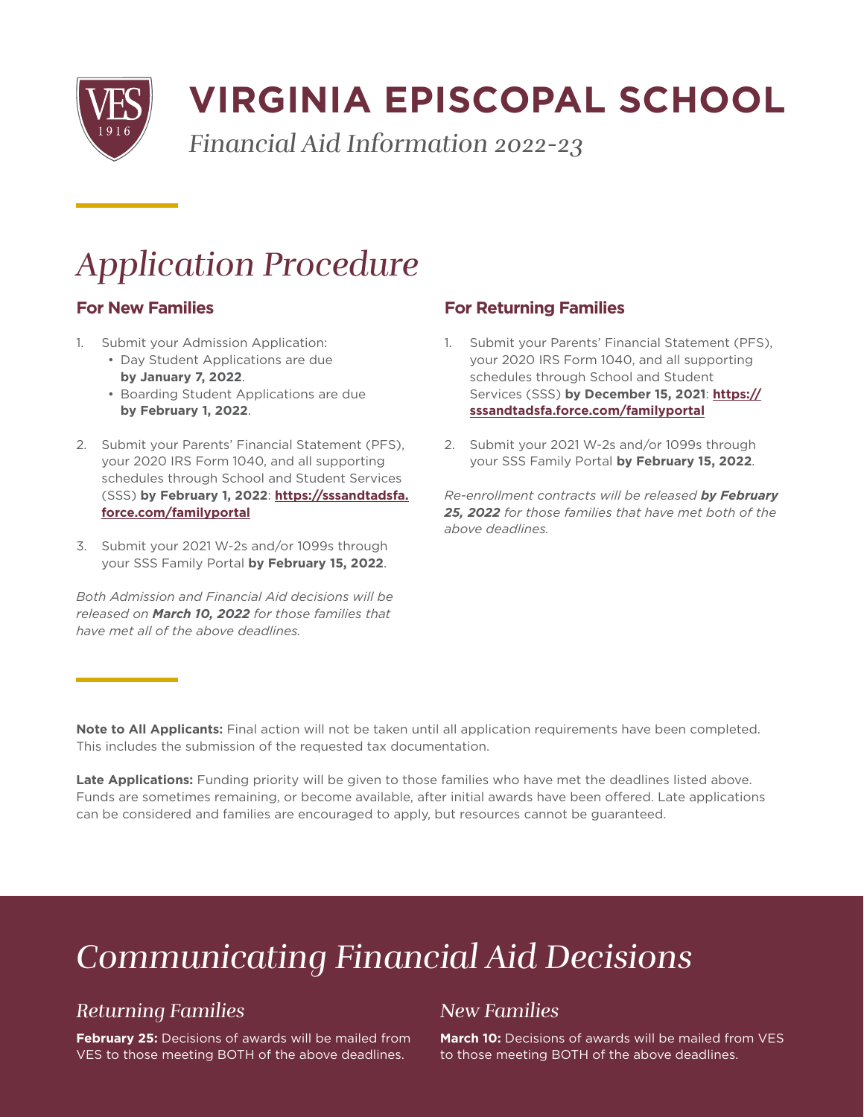

# **VIRGINIA EPISCOPAL SCHOOL**

*Financial Aid Information 2022-23*

## *Application Procedure*

#### **For New Families**

- 1. Submit your Admission Application:
	- Day Student Applications are due **by January 7, 2022**.
	- Boarding Student Applications are due **by February 1, 2022**.
- 2. Submit your Parents' Financial Statement (PFS), your 2020 IRS Form 1040, and all supporting schedules through School and Student Services (SSS) **by February 1, 2022**: **[https://sssandtadsfa.](https://sssandtadsfa.force.com/familyportal ) [force.com/familyportal](https://sssandtadsfa.force.com/familyportal )**
- 3. Submit your 2021 W-2s and/or 1099s through your SSS Family Portal **by February 15, 2022**.

*Both Admission and Financial Aid decisions will be released on March 10, 2022 for those families that have met all of the above deadlines.*

#### **For Returning Families**

- 1. Submit your Parents' Financial Statement (PFS), your 2020 IRS Form 1040, and all supporting schedules through School and Student Services (SSS) **by December 15, 2021**: **https:// sssandtadsfa.force.com/familyportal**
- 2. Submit your 2021 W-2s and/or 1099s through your SSS Family Portal **by February 15, 2022**.

*Re-enrollment contracts will be released by February 25, 2022 for those families that have met both of the above deadlines.*

**Note to All Applicants:** Final action will not be taken until all application requirements have been completed. This includes the submission of the requested tax documentation.

**Late Applications:** Funding priority will be given to those families who have met the deadlines listed above. Funds are sometimes remaining, or become available, after initial awards have been offered. Late applications can be considered and families are encouraged to apply, but resources cannot be guaranteed.

## *Communicating Financial Aid Decisions*

### *Returning Families*

**February 25:** Decisions of awards will be mailed from VES to those meeting BOTH of the above deadlines.

#### *New Families*

**March 10:** Decisions of awards will be mailed from VES to those meeting BOTH of the above deadlines.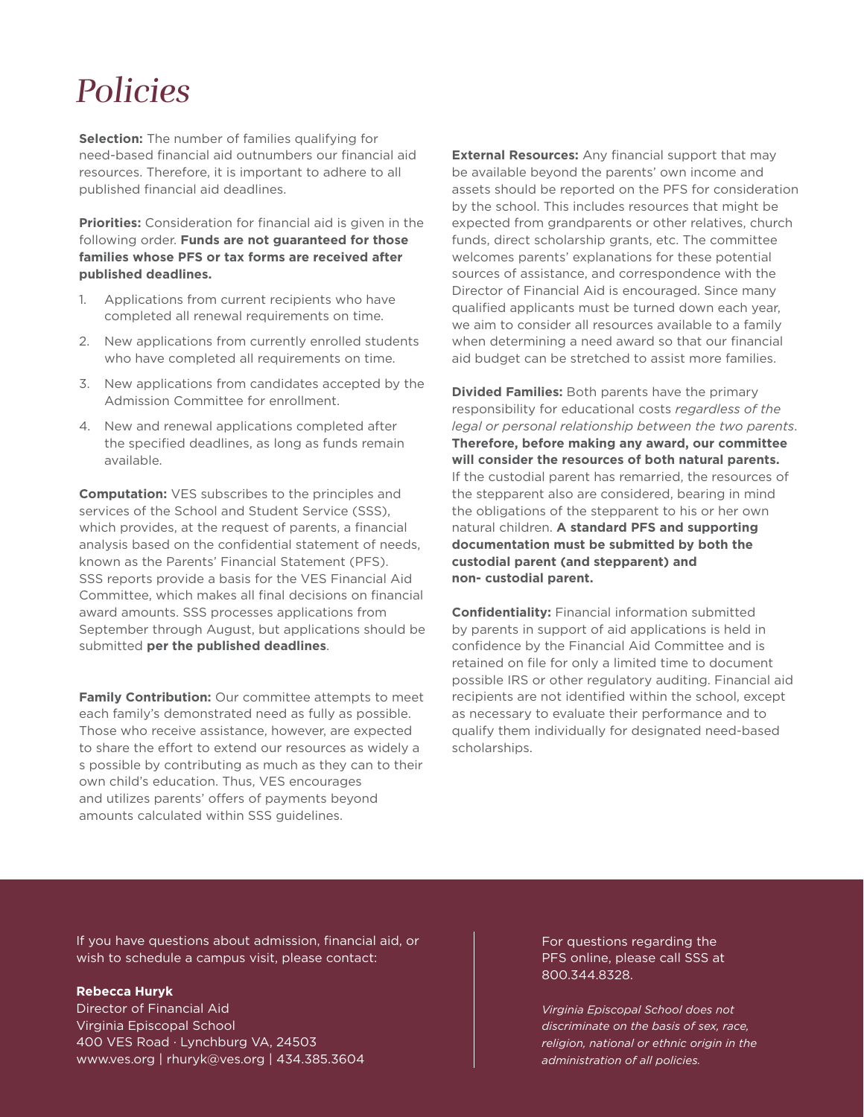### *Policies*

**Selection:** The number of families qualifying for need-based financial aid outnumbers our financial aid resources. Therefore, it is important to adhere to all published financial aid deadlines.

**Priorities:** Consideration for financial aid is given in the following order. **Funds are not guaranteed for those families whose PFS or tax forms are received after published deadlines.**

- 1. Applications from current recipients who have completed all renewal requirements on time.
- 2. New applications from currently enrolled students who have completed all requirements on time.
- 3. New applications from candidates accepted by the Admission Committee for enrollment.
- 4. New and renewal applications completed after the specified deadlines, as long as funds remain available.

**Computation:** VES subscribes to the principles and services of the School and Student Service (SSS), which provides, at the request of parents, a financial analysis based on the confidential statement of needs, known as the Parents' Financial Statement (PFS). SSS reports provide a basis for the VES Financial Aid Committee, which makes all final decisions on financial award amounts. SSS processes applications from September through August, but applications should be submitted **per the published deadlines**.

**Family Contribution:** Our committee attempts to meet each family's demonstrated need as fully as possible. Those who receive assistance, however, are expected to share the effort to extend our resources as widely a s possible by contributing as much as they can to their own child's education. Thus, VES encourages and utilizes parents' offers of payments beyond amounts calculated within SSS guidelines.

**External Resources:** Any financial support that may be available beyond the parents' own income and assets should be reported on the PFS for consideration by the school. This includes resources that might be expected from grandparents or other relatives, church funds, direct scholarship grants, etc. The committee welcomes parents' explanations for these potential sources of assistance, and correspondence with the Director of Financial Aid is encouraged. Since many qualified applicants must be turned down each year, we aim to consider all resources available to a family when determining a need award so that our financial aid budget can be stretched to assist more families.

**Divided Families:** Both parents have the primary responsibility for educational costs *regardless of the legal or personal relationship between the two parents*. **Therefore, before making any award, our committee will consider the resources of both natural parents.** If the custodial parent has remarried, the resources of the stepparent also are considered, bearing in mind the obligations of the stepparent to his or her own natural children. **A standard PFS and supporting documentation must be submitted by both the custodial parent (and stepparent) and non- custodial parent.**

**Confidentiality:** Financial information submitted by parents in support of aid applications is held in confidence by the Financial Aid Committee and is retained on file for only a limited time to document possible IRS or other regulatory auditing. Financial aid recipients are not identified within the school, except as necessary to evaluate their performance and to qualify them individually for designated need-based scholarships.

If you have questions about admission, financial aid, or wish to schedule a campus visit, please contact:

#### **Rebecca Huryk**

Director of Financial Aid Virginia Episcopal School 400 VES Road · Lynchburg VA, 24503 www.ves.org | rhuryk@ves.org | 434.385.3604

For questions regarding the PFS online, please call SSS at 800.344.8328.

*Virginia Episcopal School does not discriminate on the basis of sex, race, religion, national or ethnic origin in the administration of all policies.*